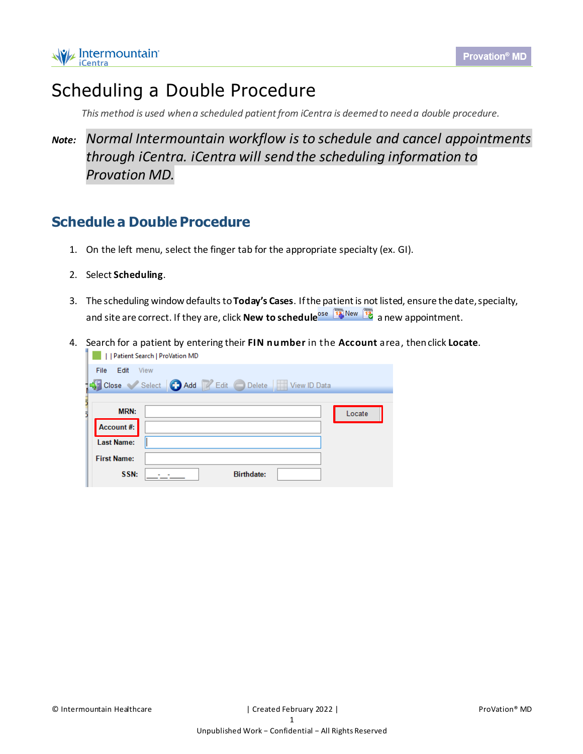## Scheduling a Double Procedure

*This method is used when a scheduled patient from iCentra is deemed to need a double procedure.*

## *Note: Normal Intermountain workflow is to schedule and cancel appointments through iCentra. iCentra will send the scheduling information to Provation MD.*

## **Schedule a Double Procedure**

- 1. On the left menu, select the finger tab for the appropriate specialty (ex. GI).
- 2. Select **Scheduling**.
- 3. The scheduling window defaultsto**Today's Cases**. Ifthe patient is not listed, ensure the date,specialty, and site are correct. If they are, click **New to schedule**<sup>ose [72]</sup> New [72] a new appointment.
- 4. Search for a patient by entering their **FIN number** in the **Account** area, thenclick **Locate**.| | | | | | Patient Search | ProVation MD

| File<br>Edit       | <b>View</b>                                                                     |                   |        |
|--------------------|---------------------------------------------------------------------------------|-------------------|--------|
|                    | <b>For Close</b> Select <b>C</b> Add <b>Z</b> Edit <b>C</b> Delete View ID Data |                   |        |
|                    |                                                                                 |                   |        |
| <b>MRN:</b>        |                                                                                 |                   | Locate |
| Account#:          |                                                                                 |                   |        |
| <b>Last Name:</b>  |                                                                                 |                   |        |
| <b>First Name:</b> |                                                                                 |                   |        |
| SSN:               |                                                                                 | <b>Birthdate:</b> |        |
|                    |                                                                                 |                   |        |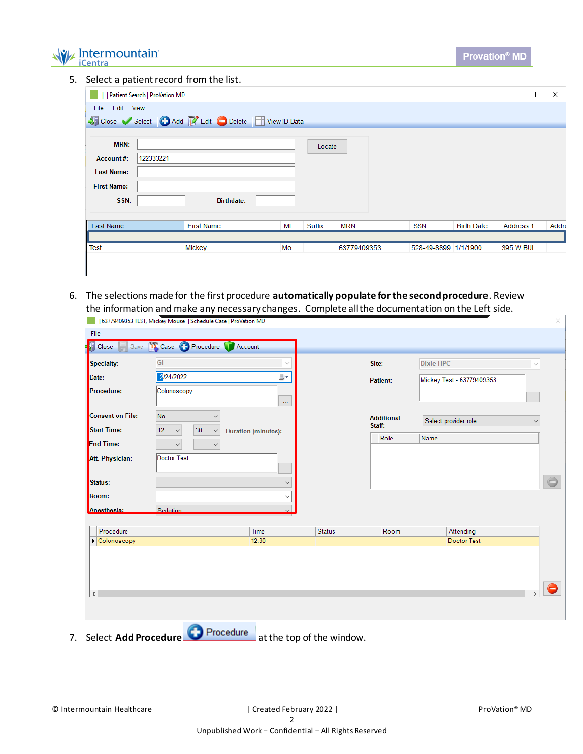

5. Select a patient record from the list.

|                                                                             | Patient Search   ProVation MD                    |    |        |             |                      |                   | □<br>$\frac{1}{2} \left( \frac{1}{2} \right) \left( \frac{1}{2} \right) \left( \frac{1}{2} \right) \left( \frac{1}{2} \right) \left( \frac{1}{2} \right) \left( \frac{1}{2} \right) \left( \frac{1}{2} \right) \left( \frac{1}{2} \right) \left( \frac{1}{2} \right) \left( \frac{1}{2} \right) \left( \frac{1}{2} \right) \left( \frac{1}{2} \right) \left( \frac{1}{2} \right) \left( \frac{1}{2} \right) \left( \frac{1}{2} \right) \left( \frac{1}{2} \right) \left( \frac$ | $\times$ |
|-----------------------------------------------------------------------------|--------------------------------------------------|----|--------|-------------|----------------------|-------------------|---------------------------------------------------------------------------------------------------------------------------------------------------------------------------------------------------------------------------------------------------------------------------------------------------------------------------------------------------------------------------------------------------------------------------------------------------------------------------------|----------|
| File<br>Edit View                                                           |                                                  |    |        |             |                      |                   |                                                                                                                                                                                                                                                                                                                                                                                                                                                                                 |          |
|                                                                             | Close Select   Add   Edit Delete   TView ID Data |    |        |             |                      |                   |                                                                                                                                                                                                                                                                                                                                                                                                                                                                                 |          |
| <b>MRN:</b><br>Account#:<br><b>Last Name:</b><br><b>First Name:</b><br>SSN: | 122333221<br><b>Birthdate:</b>                   |    | Locate |             |                      |                   |                                                                                                                                                                                                                                                                                                                                                                                                                                                                                 |          |
| Last Name                                                                   | <b>First Name</b>                                | MI | Suffix | <b>MRN</b>  | <b>SSN</b>           | <b>Birth Date</b> | Address 1                                                                                                                                                                                                                                                                                                                                                                                                                                                                       | Addre    |
|                                                                             |                                                  |    |        |             |                      |                   |                                                                                                                                                                                                                                                                                                                                                                                                                                                                                 |          |
| <b>Test</b>                                                                 | Mickey                                           | Mo |        | 63779409353 | 528-49-8899 1/1/1900 |                   | 395 W BUL                                                                                                                                                                                                                                                                                                                                                                                                                                                                       |          |
|                                                                             |                                                  |    |        |             |                      |                   |                                                                                                                                                                                                                                                                                                                                                                                                                                                                                 |          |
|                                                                             |                                                  |    |        |             |                      |                   |                                                                                                                                                                                                                                                                                                                                                                                                                                                                                 |          |

6. The selections made for the first procedure **automatically populate for the second procedure**. Review the information and make any necessary changes. Complete all the documentation on the Left side.

|                         | 63779409353 TEST, Mickey Mouse   Schedule Case   ProVation MD |                            |               |                             |                           |                     | × |
|-------------------------|---------------------------------------------------------------|----------------------------|---------------|-----------------------------|---------------------------|---------------------|---|
| File                    |                                                               |                            |               |                             |                           |                     |   |
| Save<br><b>Close</b>    | <b>TA</b> Case <b>P</b> Procedure <b>Account</b>              |                            |               |                             |                           |                     |   |
| Specialty:              | GI                                                            |                            |               | Site:                       | <b>Dixie HPC</b>          | $\sim$              |   |
| Date:                   | 2/24/2022                                                     | ▦▾                         |               | Patient:                    | Mickey Test - 63779409353 |                     |   |
| Procedure:              | Colonoscopy                                                   | $\ldots$                   |               |                             |                           | $\bar{\mathcal{L}}$ |   |
| <b>Consent on File:</b> | No<br>$\checkmark$                                            |                            |               | <b>Additional</b><br>Staff: | Select provider role      | $\checkmark$        |   |
| <b>Start Time:</b>      | 30<br>12<br>$\checkmark$<br>$\checkmark$                      | <b>Duration (minutes):</b> |               | Role                        | Name                      |                     |   |
| <b>End Time:</b>        | $\checkmark$<br>$\checkmark$                                  |                            |               |                             |                           |                     |   |
| Att. Physician:         | Doctor Test                                                   | $\ldots$                   |               |                             |                           |                     |   |
| Status:                 |                                                               | $\checkmark$               |               |                             |                           |                     |   |
| Room:                   |                                                               | $\checkmark$               |               |                             |                           |                     |   |
| <b>Anesthesia:</b>      | Sedation                                                      |                            |               |                             |                           |                     |   |
|                         |                                                               |                            |               |                             |                           |                     |   |
| Procedure               |                                                               | Time                       | <b>Status</b> | Room                        | Attending                 |                     |   |
| Colonoscopy             |                                                               | 12:30                      |               |                             | <b>Doctor Test</b>        |                     |   |
|                         |                                                               |                            |               |                             |                           |                     |   |
|                         |                                                               |                            |               |                             |                           |                     |   |
|                         |                                                               |                            |               |                             |                           |                     |   |
| $\,$ $\,$               |                                                               |                            |               |                             |                           |                     |   |
|                         |                                                               |                            |               |                             |                           |                     |   |
|                         | æ                                                             |                            |               |                             |                           |                     |   |

7. Select **Add Procedure** atthe top of the window.